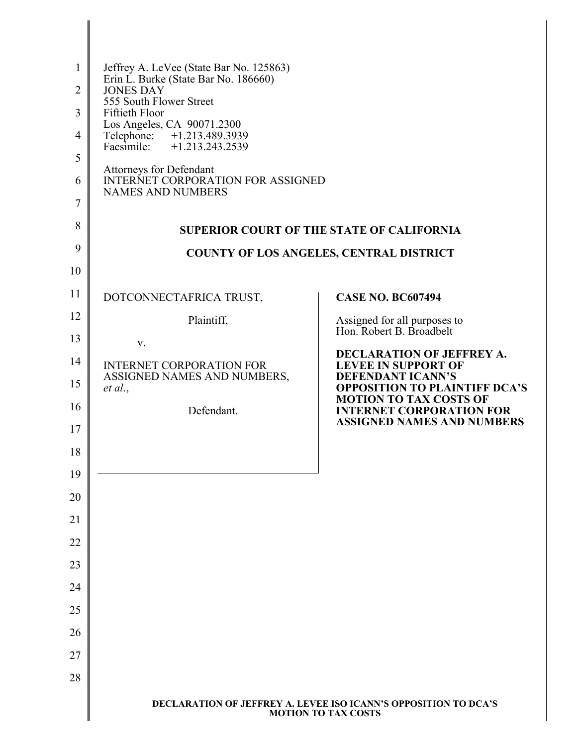| 1<br>$\overline{2}$<br>3<br>$\overline{4}$<br>5<br>6<br>7<br>8<br>9<br>10 | Jeffrey A. LeVee (State Bar No. 125863)<br>Erin L. Burke (State Bar No. 186660)<br><b>JONES DAY</b><br>555 South Flower Street<br><b>Fiftieth Floor</b><br>Los Angeles, CA 90071.2300<br>Telephone: +1.213.489.3939<br>Facsimile:<br>$+1.213.243.2539$<br>Attorneys for Defendant<br><b>INTERNET CORPORATION FOR ASSIGNED</b><br><b>NAMES AND NUMBERS</b> | <b>SUPERIOR COURT OF THE STATE OF CALIFORNIA</b><br><b>COUNTY OF LOS ANGELES, CENTRAL DISTRICT</b>   |
|---------------------------------------------------------------------------|-----------------------------------------------------------------------------------------------------------------------------------------------------------------------------------------------------------------------------------------------------------------------------------------------------------------------------------------------------------|------------------------------------------------------------------------------------------------------|
| 11                                                                        | DOTCONNECTAFRICA TRUST,                                                                                                                                                                                                                                                                                                                                   | <b>CASE NO. BC607494</b>                                                                             |
| 12                                                                        | Plaintiff,                                                                                                                                                                                                                                                                                                                                                | Assigned for all purposes to<br>Hon. Robert B. Broadbelt                                             |
| 13                                                                        | V.                                                                                                                                                                                                                                                                                                                                                        | <b>DECLARATION OF JEFFREY A.</b>                                                                     |
| 14<br>15                                                                  | <b>INTERNET CORPORATION FOR</b><br>ASSIGNED NAMES AND NUMBERS,<br>et al.,                                                                                                                                                                                                                                                                                 | <b>LEVEE IN SUPPORT OF</b><br><b>DEFENDANT ICANN'S</b><br><b>OPPOSITION TO PLAINTIFF DCA'S</b>       |
| 16                                                                        | Defendant.                                                                                                                                                                                                                                                                                                                                                | <b>MOTION TO TAX COSTS OF</b><br><b>INTERNET CORPORATION FOR</b>                                     |
| 17                                                                        |                                                                                                                                                                                                                                                                                                                                                           | <b>ASSIGNED NAMES AND NUMBERS</b>                                                                    |
| 18                                                                        |                                                                                                                                                                                                                                                                                                                                                           |                                                                                                      |
| 19                                                                        |                                                                                                                                                                                                                                                                                                                                                           |                                                                                                      |
| 20                                                                        |                                                                                                                                                                                                                                                                                                                                                           |                                                                                                      |
| 21                                                                        |                                                                                                                                                                                                                                                                                                                                                           |                                                                                                      |
| 22                                                                        |                                                                                                                                                                                                                                                                                                                                                           |                                                                                                      |
| 23                                                                        |                                                                                                                                                                                                                                                                                                                                                           |                                                                                                      |
| 24                                                                        |                                                                                                                                                                                                                                                                                                                                                           |                                                                                                      |
| 25                                                                        |                                                                                                                                                                                                                                                                                                                                                           |                                                                                                      |
| 26                                                                        |                                                                                                                                                                                                                                                                                                                                                           |                                                                                                      |
| 27                                                                        |                                                                                                                                                                                                                                                                                                                                                           |                                                                                                      |
| 28                                                                        |                                                                                                                                                                                                                                                                                                                                                           |                                                                                                      |
|                                                                           |                                                                                                                                                                                                                                                                                                                                                           | <b>DECLARATION OF JEFFREY A. LEVEE ISO ICANN'S OPPOSITION TO DCA'S</b><br><b>MOTION TO TAX COSTS</b> |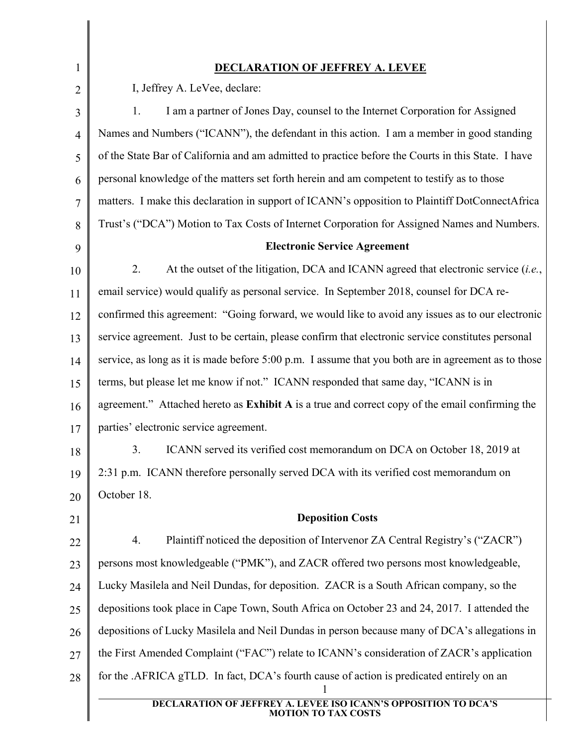| 1              | <b>DECLARATION OF JEFFREY A. LEVEE</b>                                                                         |
|----------------|----------------------------------------------------------------------------------------------------------------|
| $\overline{2}$ | I, Jeffrey A. LeVee, declare:                                                                                  |
| 3              | I am a partner of Jones Day, counsel to the Internet Corporation for Assigned<br>1.                            |
| $\overline{4}$ | Names and Numbers ("ICANN"), the defendant in this action. I am a member in good standing                      |
| 5              | of the State Bar of California and am admitted to practice before the Courts in this State. I have             |
| 6              | personal knowledge of the matters set forth herein and am competent to testify as to those                     |
| 7              | matters. I make this declaration in support of ICANN's opposition to Plaintiff DotConnectAfrica                |
| 8              | Trust's ("DCA") Motion to Tax Costs of Internet Corporation for Assigned Names and Numbers.                    |
| 9              | <b>Electronic Service Agreement</b>                                                                            |
| 10             | 2.<br>At the outset of the litigation, DCA and ICANN agreed that electronic service (i.e.,                     |
| 11             | email service) would qualify as personal service. In September 2018, counsel for DCA re-                       |
| 12             | confirmed this agreement: "Going forward, we would like to avoid any issues as to our electronic               |
| 13             | service agreement. Just to be certain, please confirm that electronic service constitutes personal             |
| 14             | service, as long as it is made before 5:00 p.m. I assume that you both are in agreement as to those            |
| 15             | terms, but please let me know if not." ICANN responded that same day, "ICANN is in                             |
| 16             | agreement." Attached hereto as Exhibit A is a true and correct copy of the email confirming the                |
| 17             | parties' electronic service agreement.                                                                         |
| 18             | 3.<br>ICANN served its verified cost memorandum on DCA on October 18, 2019 at                                  |
| 19             | 2:31 p.m. ICANN therefore personally served DCA with its verified cost memorandum on                           |
| 20             | October 18.                                                                                                    |
| 21             | <b>Deposition Costs</b>                                                                                        |
| 22             | Plaintiff noticed the deposition of Intervenor ZA Central Registry's ("ZACR")<br>4.                            |
| 23             | persons most knowledgeable ("PMK"), and ZACR offered two persons most knowledgeable,                           |
| 24             | Lucky Masilela and Neil Dundas, for deposition. ZACR is a South African company, so the                        |
| 25             | depositions took place in Cape Town, South Africa on October 23 and 24, 2017. I attended the                   |
| 26             | depositions of Lucky Masilela and Neil Dundas in person because many of DCA's allegations in                   |
| 27             | the First Amended Complaint ("FAC") relate to ICANN's consideration of ZACR's application                      |
| 28             | for the .AFRICA gTLD. In fact, DCA's fourth cause of action is predicated entirely on an                       |
|                | <b>ISO ICANN'S OPPOSITION TO DCA'S</b><br><b>DECLARATION OF JEFFREY A. LEVEE</b><br><b>MOTION TO TAX COSTS</b> |

Ι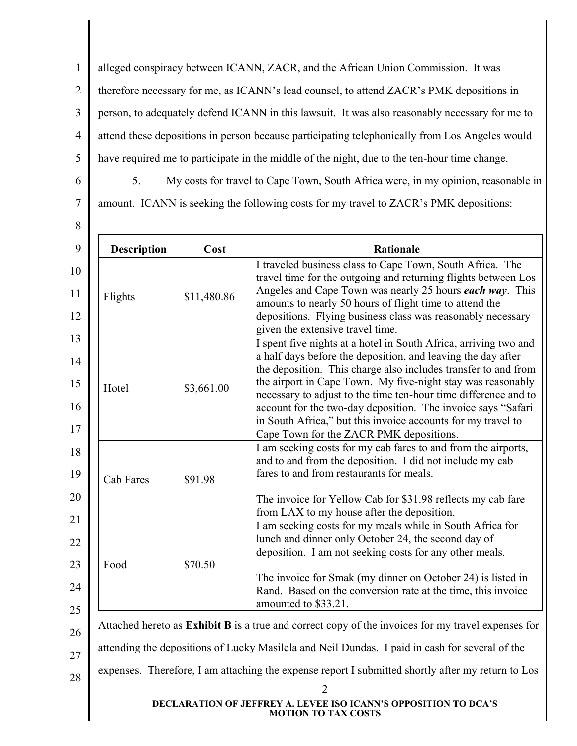1 2 3 4 5 alleged conspiracy between ICANN, ZACR, and the African Union Commission. It was therefore necessary for me, as ICANN's lead counsel, to attend ZACR's PMK depositions in person, to adequately defend ICANN in this lawsuit. It was also reasonably necessary for me to attend these depositions in person because participating telephonically from Los Angeles would have required me to participate in the middle of the night, due to the ten-hour time change.

6

7

8

5. My costs for travel to Cape Town, South Africa were, in my opinion, reasonable in

amount. ICANN is seeking the following costs for my travel to ZACR's PMK depositions:

| <b>Description</b><br>Cost | <b>Rationale</b>                                                                                                                                                                                                                                                                                                                                                                                                                                                                                                |
|----------------------------|-----------------------------------------------------------------------------------------------------------------------------------------------------------------------------------------------------------------------------------------------------------------------------------------------------------------------------------------------------------------------------------------------------------------------------------------------------------------------------------------------------------------|
| \$11,480.86                | I traveled business class to Cape Town, South Africa. The<br>travel time for the outgoing and returning flights between Los<br>Angeles and Cape Town was nearly 25 hours each way. This<br>amounts to nearly 50 hours of flight time to attend the<br>depositions. Flying business class was reasonably necessary<br>given the extensive travel time.                                                                                                                                                           |
| \$3,661.00                 | I spent five nights at a hotel in South Africa, arriving two and<br>a half days before the deposition, and leaving the day after<br>the deposition. This charge also includes transfer to and from<br>the airport in Cape Town. My five-night stay was reasonably<br>necessary to adjust to the time ten-hour time difference and to<br>account for the two-day deposition. The invoice says "Safari<br>in South Africa," but this invoice accounts for my travel to<br>Cape Town for the ZACR PMK depositions. |
| \$91.98                    | I am seeking costs for my cab fares to and from the airports,<br>and to and from the deposition. I did not include my cab<br>fares to and from restaurants for meals.<br>The invoice for Yellow Cab for \$31.98 reflects my cab fare<br>from LAX to my house after the deposition.                                                                                                                                                                                                                              |
| \$70.50                    | I am seeking costs for my meals while in South Africa for<br>lunch and dinner only October 24, the second day of<br>deposition. I am not seeking costs for any other meals.<br>The invoice for Smak (my dinner on October 24) is listed in<br>Rand. Based on the conversion rate at the time, this invoice                                                                                                                                                                                                      |
|                            |                                                                                                                                                                                                                                                                                                                                                                                                                                                                                                                 |

28

2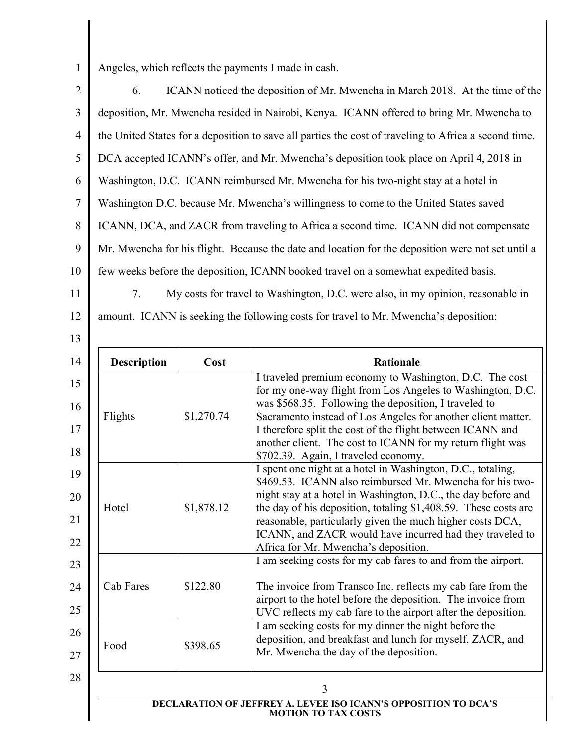1

13

Angeles, which reflects the payments I made in cash.

2 3 4 5 6 7 8 9 10 11 6. ICANN noticed the deposition of Mr. Mwencha in March 2018. At the time of the deposition, Mr. Mwencha resided in Nairobi, Kenya. ICANN offered to bring Mr. Mwencha to the United States for a deposition to save all parties the cost of traveling to Africa a second time. DCA accepted ICANN's offer, and Mr. Mwencha's deposition took place on April 4, 2018 in Washington, D.C. ICANN reimbursed Mr. Mwencha for his two-night stay at a hotel in Washington D.C. because Mr. Mwencha's willingness to come to the United States saved ICANN, DCA, and ZACR from traveling to Africa a second time. ICANN did not compensate Mr. Mwencha for his flight. Because the date and location for the deposition were not set until a few weeks before the deposition, ICANN booked travel on a somewhat expedited basis. 7. My costs for travel to Washington, D.C. were also, in my opinion, reasonable in

12 amount. ICANN is seeking the following costs for travel to Mr. Mwencha's deposition:

|      | <b>Description</b> | Cost                                                      | <b>Rationale</b>                                                                                                        |
|------|--------------------|-----------------------------------------------------------|-------------------------------------------------------------------------------------------------------------------------|
|      |                    |                                                           | I traveled premium economy to Washington, D.C. The cost                                                                 |
|      |                    |                                                           | for my one-way flight from Los Angeles to Washington, D.C.<br>was \$568.35. Following the deposition, I traveled to     |
|      | Flights            | \$1,270.74                                                | Sacramento instead of Los Angeles for another client matter.                                                            |
|      |                    |                                                           | I therefore split the cost of the flight between ICANN and                                                              |
|      |                    |                                                           | another client. The cost to ICANN for my return flight was                                                              |
|      |                    |                                                           | \$702.39. Again, I traveled economy.                                                                                    |
|      |                    |                                                           | I spent one night at a hotel in Washington, D.C., totaling,<br>\$469.53. ICANN also reimbursed Mr. Mwencha for his two- |
|      |                    |                                                           | night stay at a hotel in Washington, D.C., the day before and                                                           |
|      | Hotel              | \$1,878.12                                                | the day of his deposition, totaling \$1,408.59. These costs are                                                         |
|      |                    | reasonable, particularly given the much higher costs DCA, |                                                                                                                         |
|      |                    |                                                           | ICANN, and ZACR would have incurred had they traveled to                                                                |
|      |                    |                                                           | Africa for Mr. Mwencha's deposition.                                                                                    |
|      |                    |                                                           | I am seeking costs for my cab fares to and from the airport.                                                            |
|      | Cab Fares          | \$122.80                                                  | The invoice from Transco Inc. reflects my cab fare from the                                                             |
|      |                    |                                                           | airport to the hotel before the deposition. The invoice from                                                            |
|      |                    |                                                           | UVC reflects my cab fare to the airport after the deposition.                                                           |
|      |                    |                                                           | I am seeking costs for my dinner the night before the                                                                   |
| Food | \$398.65           | deposition, and breakfast and lunch for myself, ZACR, and |                                                                                                                         |
|      |                    |                                                           | Mr. Mwencha the day of the deposition.                                                                                  |
|      |                    |                                                           |                                                                                                                         |
| 3    |                    |                                                           |                                                                                                                         |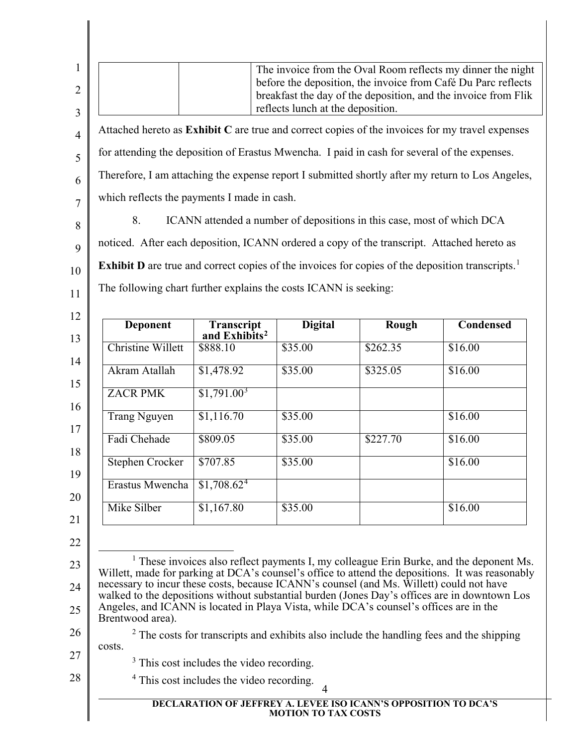<span id="page-4-3"></span><span id="page-4-2"></span><span id="page-4-1"></span><span id="page-4-0"></span>

|                                                                                                                                                                                                                                                                                                                                                                                                                       |                                                                                                              | reflects lunch at the deposition. | before the deposition, the invoice from Café Du Parc reflects<br>breakfast the day of the deposition, and the invoice from Flik                                                                  | The invoice from the Oval Room reflects my dinner the night |
|-----------------------------------------------------------------------------------------------------------------------------------------------------------------------------------------------------------------------------------------------------------------------------------------------------------------------------------------------------------------------------------------------------------------------|--------------------------------------------------------------------------------------------------------------|-----------------------------------|--------------------------------------------------------------------------------------------------------------------------------------------------------------------------------------------------|-------------------------------------------------------------|
| Attached hereto as Exhibit C are true and correct copies of the invoices for my travel expenses                                                                                                                                                                                                                                                                                                                       |                                                                                                              |                                   |                                                                                                                                                                                                  |                                                             |
| for attending the deposition of Erastus Mwencha. I paid in cash for several of the expenses.                                                                                                                                                                                                                                                                                                                          |                                                                                                              |                                   |                                                                                                                                                                                                  |                                                             |
| Therefore, I am attaching the expense report I submitted shortly after my return to Los Angeles,                                                                                                                                                                                                                                                                                                                      |                                                                                                              |                                   |                                                                                                                                                                                                  |                                                             |
| which reflects the payments I made in cash.                                                                                                                                                                                                                                                                                                                                                                           |                                                                                                              |                                   |                                                                                                                                                                                                  |                                                             |
| 8.                                                                                                                                                                                                                                                                                                                                                                                                                    |                                                                                                              |                                   | ICANN attended a number of depositions in this case, most of which DCA                                                                                                                           |                                                             |
| noticed. After each deposition, ICANN ordered a copy of the transcript. Attached hereto as                                                                                                                                                                                                                                                                                                                            |                                                                                                              |                                   |                                                                                                                                                                                                  |                                                             |
| <b>Exhibit D</b> are true and correct copies of the invoices for copies of the deposition transcripts. <sup>1</sup>                                                                                                                                                                                                                                                                                                   |                                                                                                              |                                   |                                                                                                                                                                                                  |                                                             |
| The following chart further explains the costs ICANN is seeking:<br><b>Deponent</b>                                                                                                                                                                                                                                                                                                                                   | Transcript                                                                                                   | <b>Digital</b>                    | <b>Rough</b>                                                                                                                                                                                     | <b>Condensed</b>                                            |
| <b>Christine Willett</b>                                                                                                                                                                                                                                                                                                                                                                                              | and Exhibits <sup>2</sup><br>\$888.10                                                                        | \$35.00                           | \$262.35                                                                                                                                                                                         | \$16.00                                                     |
|                                                                                                                                                                                                                                                                                                                                                                                                                       |                                                                                                              |                                   |                                                                                                                                                                                                  |                                                             |
| Akram Atallah                                                                                                                                                                                                                                                                                                                                                                                                         | \$1,478.92                                                                                                   | \$35.00                           | \$325.05                                                                                                                                                                                         | \$16.00                                                     |
| <b>ZACR PMK</b>                                                                                                                                                                                                                                                                                                                                                                                                       | \$1,791.00 <sup>3</sup>                                                                                      |                                   |                                                                                                                                                                                                  |                                                             |
| <b>Trang Nguyen</b>                                                                                                                                                                                                                                                                                                                                                                                                   | \$1,116.70                                                                                                   | \$35.00                           |                                                                                                                                                                                                  | \$16.00                                                     |
| Fadi Chehade                                                                                                                                                                                                                                                                                                                                                                                                          | \$809.05                                                                                                     | \$35.00                           | \$227.70                                                                                                                                                                                         | \$16.00                                                     |
| <b>Stephen Crocker</b>                                                                                                                                                                                                                                                                                                                                                                                                | \$707.85                                                                                                     | \$35.00                           |                                                                                                                                                                                                  | \$16.00                                                     |
| Erastus Mwencha                                                                                                                                                                                                                                                                                                                                                                                                       | \$1,708.62 <sup>4</sup>                                                                                      |                                   |                                                                                                                                                                                                  |                                                             |
| Mike Silber                                                                                                                                                                                                                                                                                                                                                                                                           | \$1,167.80                                                                                                   | \$35.00                           |                                                                                                                                                                                                  | \$16.00                                                     |
| Willett, made for parking at DCA's counsel's office to attend the depositions. It was reasonably<br>necessary to incur these costs, because ICANN's counsel (and Ms. Willett) could not have<br>walked to the depositions without substantial burden (Jones Day's offices are in downtown Los<br>Angeles, and ICANN is located in Playa Vista, while DCA's counsel's offices are in the<br>Brentwood area).<br>costs. | <sup>3</sup> This cost includes the video recording.<br><sup>4</sup> This cost includes the video recording. | 4                                 | <sup>1</sup> These invoices also reflect payments I, my colleague Erin Burke, and the deponent Ms.<br>$2$ The costs for transcripts and exhibits also include the handling fees and the shipping |                                                             |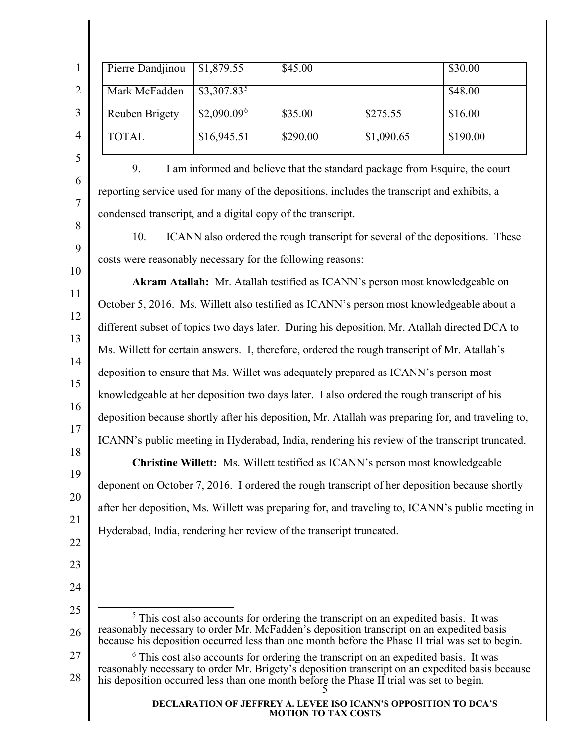|                | Pierre Dandjinou | \$1,879.55               | \$45.00  |            | \$30.00  |
|----------------|------------------|--------------------------|----------|------------|----------|
| $\overline{2}$ | Mark McFadden    | $$3,307.83^5$            |          |            | \$48.00  |
| 3              | Reuben Brigety   | $$2,090.09$ <sup>6</sup> | \$35.00  | \$275.55   | \$16.00  |
| 4              | <b>TOTAL</b>     | \$16,945.51              | \$290.00 | \$1,090.65 | \$190.00 |
|                |                  |                          |          |            |          |

6

7

8

9

10

11

12

13

14

15

16

17

18

19

20

21

22

23

24

9. I am informed and believe that the standard package from Esquire, the court reporting service used for many of the depositions, includes the transcript and exhibits, a condensed transcript, and a digital copy of the transcript.

10. ICANN also ordered the rough transcript for several of the depositions. These costs were reasonably necessary for the following reasons:

**Akram Atallah:** Mr. Atallah testified as ICANN's person most knowledgeable on October 5, 2016. Ms. Willett also testified as ICANN's person most knowledgeable about a different subset of topics two days later. During his deposition, Mr. Atallah directed DCA to Ms. Willett for certain answers. I, therefore, ordered the rough transcript of Mr. Atallah's deposition to ensure that Ms. Willet was adequately prepared as ICANN's person most knowledgeable at her deposition two days later. I also ordered the rough transcript of his deposition because shortly after his deposition, Mr. Atallah was preparing for, and traveling to, ICANN's public meeting in Hyderabad, India, rendering his review of the transcript truncated.

**Christine Willett:** Ms. Willett testified as ICANN's person most knowledgeable deponent on October 7, 2016. I ordered the rough transcript of her deposition because shortly after her deposition, Ms. Willett was preparing for, and traveling to, ICANN's public meeting in Hyderabad, India, rendering her review of the transcript truncated.

- <span id="page-5-0"></span>25 26 <sup>5</sup> This cost also accounts for ordering the transcript on an expedited basis. It was reasonably necessary to order Mr. McFadden's deposition transcript on an expedited basis because his deposition occurred less than one month before the Phase II trial was set to begin.
- <span id="page-5-1"></span>27 28 5 <sup>6</sup> This cost also accounts for ordering the transcript on an expedited basis. It was reasonably necessary to order Mr. Brigety's deposition transcript on an expedited basis because his deposition occurred less than one month before the Phase II trial was set to begin.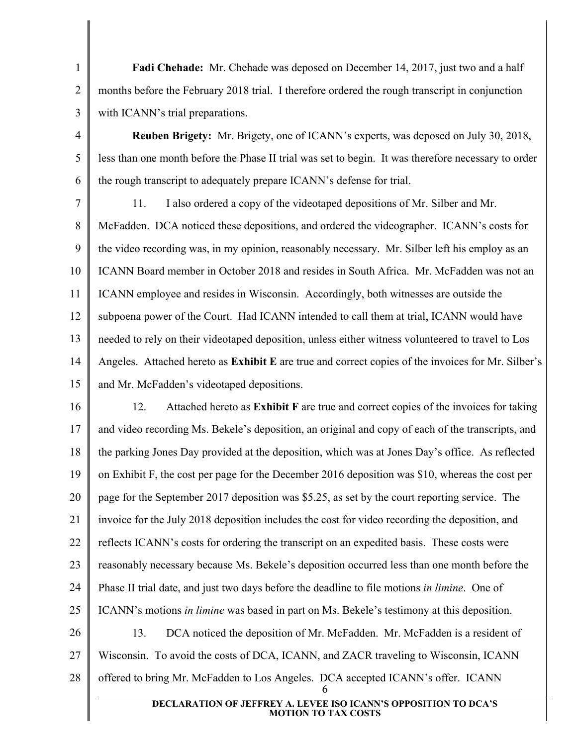**Fadi Chehade:** Mr. Chehade was deposed on December 14, 2017, just two and a half months before the February 2018 trial. I therefore ordered the rough transcript in conjunction with ICANN's trial preparations.

1

2

3

4

5

6

**Reuben Brigety:** Mr. Brigety, one of ICANN's experts, was deposed on July 30, 2018, less than one month before the Phase II trial was set to begin. It was therefore necessary to order the rough transcript to adequately prepare ICANN's defense for trial.

7 8 9 10 11 12 13 14 15 11. I also ordered a copy of the videotaped depositions of Mr. Silber and Mr. McFadden. DCA noticed these depositions, and ordered the videographer. ICANN's costs for the video recording was, in my opinion, reasonably necessary. Mr. Silber left his employ as an ICANN Board member in October 2018 and resides in South Africa. Mr. McFadden was not an ICANN employee and resides in Wisconsin. Accordingly, both witnesses are outside the subpoena power of the Court. Had ICANN intended to call them at trial, ICANN would have needed to rely on their videotaped deposition, unless either witness volunteered to travel to Los Angeles. Attached hereto as **Exhibit E** are true and correct copies of the invoices for Mr. Silber's and Mr. McFadden's videotaped depositions.

16 17 18 19 20 21 22 23 24 25 26 27 28 6 12. Attached hereto as **Exhibit F** are true and correct copies of the invoices for taking and video recording Ms. Bekele's deposition, an original and copy of each of the transcripts, and the parking Jones Day provided at the deposition, which was at Jones Day's office. As reflected on Exhibit F, the cost per page for the December 2016 deposition was \$10, whereas the cost per page for the September 2017 deposition was \$5.25, as set by the court reporting service. The invoice for the July 2018 deposition includes the cost for video recording the deposition, and reflects ICANN's costs for ordering the transcript on an expedited basis. These costs were reasonably necessary because Ms. Bekele's deposition occurred less than one month before the Phase II trial date, and just two days before the deadline to file motions *in limine*. One of ICANN's motions *in limine* was based in part on Ms. Bekele's testimony at this deposition. 13. DCA noticed the deposition of Mr. McFadden. Mr. McFadden is a resident of Wisconsin. To avoid the costs of DCA, ICANN, and ZACR traveling to Wisconsin, ICANN offered to bring Mr. McFadden to Los Angeles. DCA accepted ICANN's offer. ICANN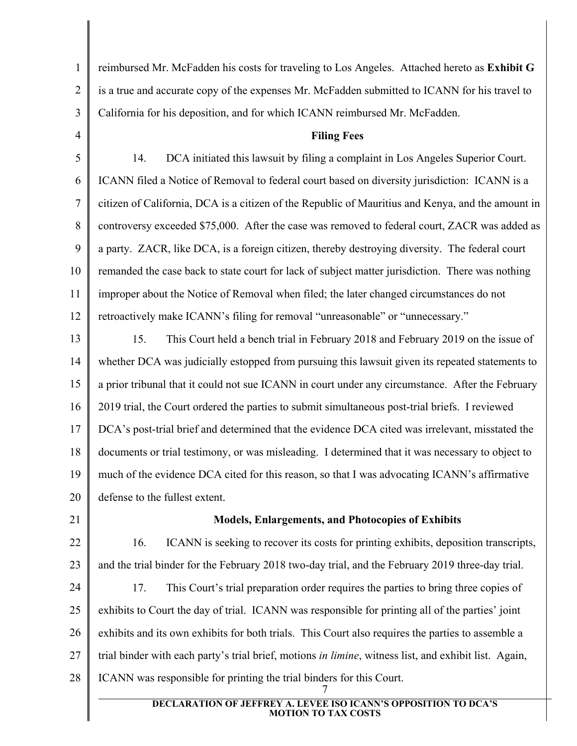reimbursed Mr. McFadden his costs for traveling to Los Angeles. Attached hereto as **Exhibit G** is a true and accurate copy of the expenses Mr. McFadden submitted to ICANN for his travel to California for his deposition, and for which ICANN reimbursed Mr. McFadden.

**Filing Fees**

5 6 7 8 9 10 11 12 14. DCA initiated this lawsuit by filing a complaint in Los Angeles Superior Court. ICANN filed a Notice of Removal to federal court based on diversity jurisdiction: ICANN is a citizen of California, DCA is a citizen of the Republic of Mauritius and Kenya, and the amount in controversy exceeded \$75,000. After the case was removed to federal court, ZACR was added as a party. ZACR, like DCA, is a foreign citizen, thereby destroying diversity. The federal court remanded the case back to state court for lack of subject matter jurisdiction. There was nothing improper about the Notice of Removal when filed; the later changed circumstances do not retroactively make ICANN's filing for removal "unreasonable" or "unnecessary."

13 14 15 16 17 18 19 20 15. This Court held a bench trial in February 2018 and February 2019 on the issue of whether DCA was judicially estopped from pursuing this lawsuit given its repeated statements to a prior tribunal that it could not sue ICANN in court under any circumstance. After the February 2019 trial, the Court ordered the parties to submit simultaneous post-trial briefs. I reviewed DCA's post-trial brief and determined that the evidence DCA cited was irrelevant, misstated the documents or trial testimony, or was misleading. I determined that it was necessary to object to much of the evidence DCA cited for this reason, so that I was advocating ICANN's affirmative defense to the fullest extent.

21

1

2

3

4

## **Models, Enlargements, and Photocopies of Exhibits**

22 23 16. ICANN is seeking to recover its costs for printing exhibits, deposition transcripts, and the trial binder for the February 2018 two-day trial, and the February 2019 three-day trial.

24 25 26 27 28 7 17. This Court's trial preparation order requires the parties to bring three copies of exhibits to Court the day of trial. ICANN was responsible for printing all of the parties' joint exhibits and its own exhibits for both trials. This Court also requires the parties to assemble a trial binder with each party's trial brief, motions *in limine*, witness list, and exhibit list. Again, ICANN was responsible for printing the trial binders for this Court.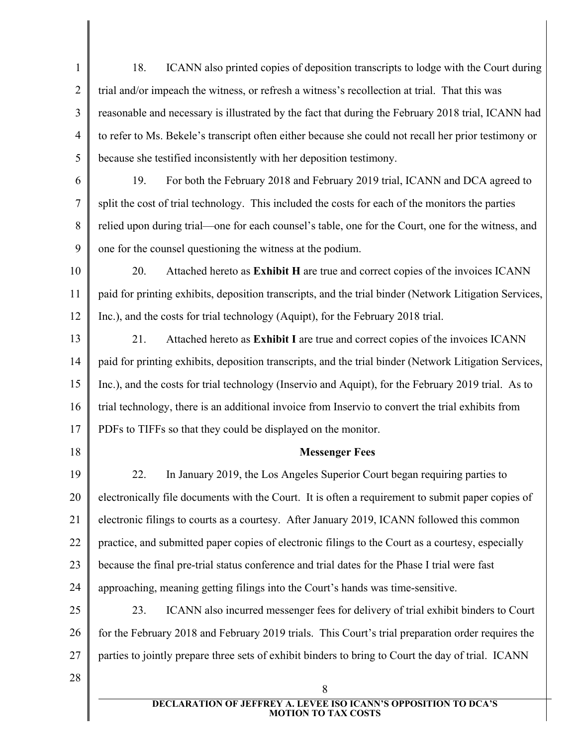1 2 3 4 5 18. ICANN also printed copies of deposition transcripts to lodge with the Court during trial and/or impeach the witness, or refresh a witness's recollection at trial. That this was reasonable and necessary is illustrated by the fact that during the February 2018 trial, ICANN had to refer to Ms. Bekele's transcript often either because she could not recall her prior testimony or because she testified inconsistently with her deposition testimony.

6 7

8

9

19. For both the February 2018 and February 2019 trial, ICANN and DCA agreed to split the cost of trial technology. This included the costs for each of the monitors the parties relied upon during trial—one for each counsel's table, one for the Court, one for the witness, and one for the counsel questioning the witness at the podium.

10 11 12 20. Attached hereto as **Exhibit H** are true and correct copies of the invoices ICANN paid for printing exhibits, deposition transcripts, and the trial binder (Network Litigation Services, Inc.), and the costs for trial technology (Aquipt), for the February 2018 trial.

13 14 15 16 17 21. Attached hereto as **Exhibit I** are true and correct copies of the invoices ICANN paid for printing exhibits, deposition transcripts, and the trial binder (Network Litigation Services, Inc.), and the costs for trial technology (Inservio and Aquipt), for the February 2019 trial. As to trial technology, there is an additional invoice from Inservio to convert the trial exhibits from PDFs to TIFFs so that they could be displayed on the monitor.

18

## **Messenger Fees**

19 20 21 22 23 24 22. In January 2019, the Los Angeles Superior Court began requiring parties to electronically file documents with the Court. It is often a requirement to submit paper copies of electronic filings to courts as a courtesy. After January 2019, ICANN followed this common practice, and submitted paper copies of electronic filings to the Court as a courtesy, especially because the final pre-trial status conference and trial dates for the Phase I trial were fast approaching, meaning getting filings into the Court's hands was time-sensitive.

25 26 27 23. ICANN also incurred messenger fees for delivery of trial exhibit binders to Court for the February 2018 and February 2019 trials. This Court's trial preparation order requires the parties to jointly prepare three sets of exhibit binders to bring to Court the day of trial. ICANN

28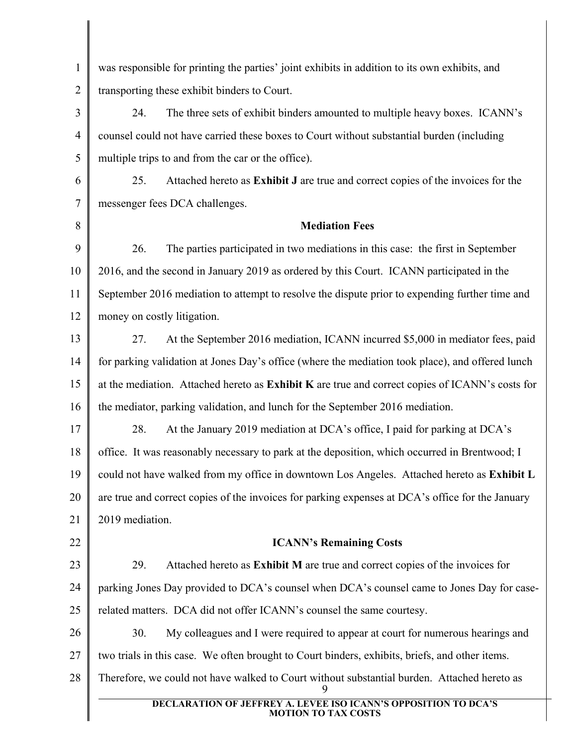| $\mathbf{1}$   | was responsible for printing the parties' joint exhibits in addition to its own exhibits, and        |  |  |  |
|----------------|------------------------------------------------------------------------------------------------------|--|--|--|
| $\overline{2}$ | transporting these exhibit binders to Court.                                                         |  |  |  |
| 3              | The three sets of exhibit binders amounted to multiple heavy boxes. ICANN's<br>24.                   |  |  |  |
| $\overline{4}$ | counsel could not have carried these boxes to Court without substantial burden (including            |  |  |  |
| 5              | multiple trips to and from the car or the office).                                                   |  |  |  |
| 6              | Attached hereto as Exhibit J are true and correct copies of the invoices for the<br>25.              |  |  |  |
| $\tau$         | messenger fees DCA challenges.                                                                       |  |  |  |
| 8              | <b>Mediation Fees</b>                                                                                |  |  |  |
| 9              | The parties participated in two mediations in this case: the first in September<br>26.               |  |  |  |
| 10             | 2016, and the second in January 2019 as ordered by this Court. ICANN participated in the             |  |  |  |
| 11             | September 2016 mediation to attempt to resolve the dispute prior to expending further time and       |  |  |  |
| 12             | money on costly litigation.                                                                          |  |  |  |
| 13             | At the September 2016 mediation, ICANN incurred \$5,000 in mediator fees, paid<br>27.                |  |  |  |
| 14             | for parking validation at Jones Day's office (where the mediation took place), and offered lunch     |  |  |  |
| 15             | at the mediation. Attached hereto as Exhibit K are true and correct copies of ICANN's costs for      |  |  |  |
| 16             | the mediator, parking validation, and lunch for the September 2016 mediation.                        |  |  |  |
| 17             | At the January 2019 mediation at DCA's office, I paid for parking at DCA's<br>28.                    |  |  |  |
| 18             | office. It was reasonably necessary to park at the deposition, which occurred in Brentwood; I        |  |  |  |
| 19             | could not have walked from my office in downtown Los Angeles. Attached hereto as Exhibit L           |  |  |  |
| 20             | are true and correct copies of the invoices for parking expenses at DCA's office for the January     |  |  |  |
| 21             | 2019 mediation.                                                                                      |  |  |  |
| 22             | <b>ICANN's Remaining Costs</b>                                                                       |  |  |  |
| 23             | Attached hereto as Exhibit M are true and correct copies of the invoices for<br>29.                  |  |  |  |
| 24             | parking Jones Day provided to DCA's counsel when DCA's counsel came to Jones Day for case-           |  |  |  |
| 25             | related matters. DCA did not offer ICANN's counsel the same courtesy.                                |  |  |  |
| 26             | 30.<br>My colleagues and I were required to appear at court for numerous hearings and                |  |  |  |
| 27             | two trials in this case. We often brought to Court binders, exhibits, briefs, and other items.       |  |  |  |
| 28             | Therefore, we could not have walked to Court without substantial burden. Attached hereto as          |  |  |  |
|                | <b>DECLARATION OF JEFFREY A. LEVEE ISO ICANN'S OPPOSITION TO DCA'S</b><br><b>MOTION TO TAX COSTS</b> |  |  |  |
|                |                                                                                                      |  |  |  |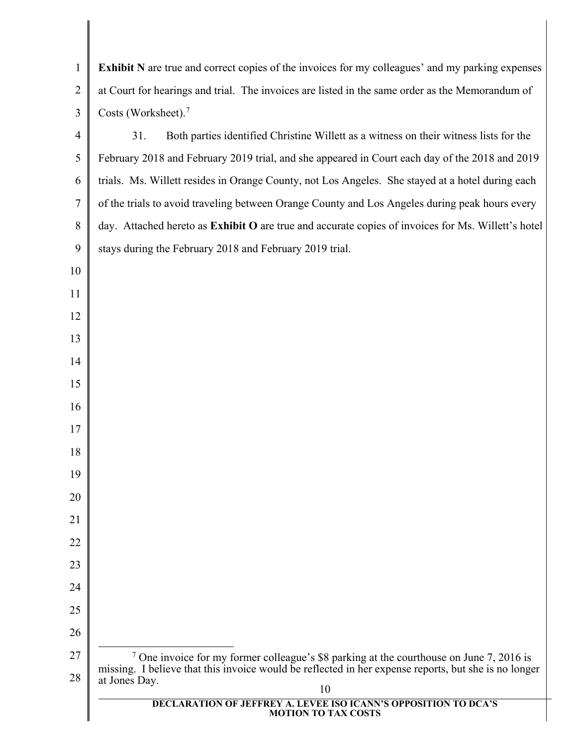<span id="page-10-0"></span> **DECLARATION OF JEFFREY A. LEVEE ISO ICANN'S OPPOSITION TO DCA'S MOTION TO TAX COSTS Exhibit N** are true and correct copies of the invoices for my colleagues' and my parking expenses at Court for hearings and trial. The invoices are listed in the same order as the Memorandum of Costs (Worksheet).<sup>[7](#page-10-0)</sup> 31. Both parties identified Christine Willett as a witness on their witness lists for the February 2018 and February 2019 trial, and she appeared in Court each day of the 2018 and 2019 trials. Ms. Willett resides in Orange County, not Los Angeles. She stayed at a hotel during each of the trials to avoid traveling between Orange County and Los Angeles during peak hours every day. Attached hereto as **Exhibit O** are true and accurate copies of invoices for Ms. Willett's hotel stays during the February 2018 and February 2019 trial. <sup>7</sup> One invoice for my former colleague's \$8 parking at the courthouse on June 7, 2016 is missing. I believe that this invoice would be reflected in her expense reports, but she is no longer at Jones Day.